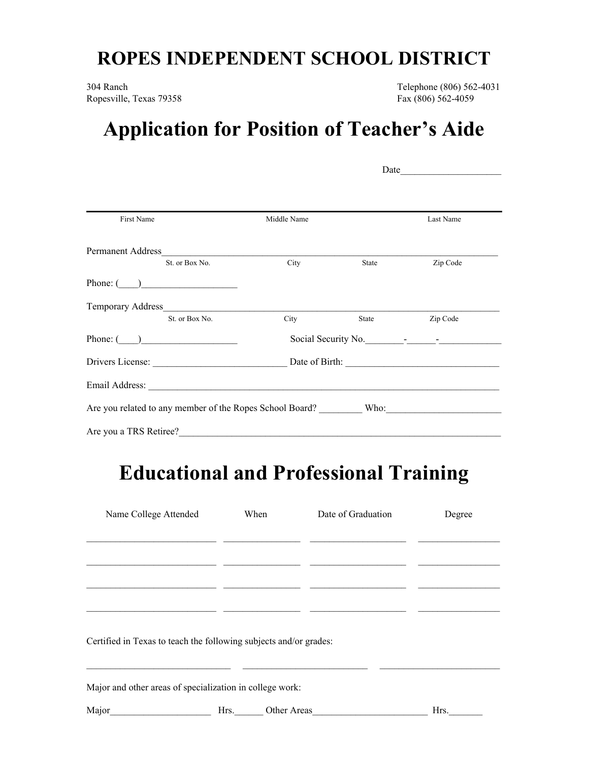## **ROPES INDEPENDENT SCHOOL DISTRICT**

Ropesville, Texas 79358 Fax (806) 562-4059

304 Ranch Telephone (806) 562-4031

## **Application for Position of Teacher's Aide**

|                                                                                                      |             | Date                                                                                                                                                                                                                                |           |  |  |  |
|------------------------------------------------------------------------------------------------------|-------------|-------------------------------------------------------------------------------------------------------------------------------------------------------------------------------------------------------------------------------------|-----------|--|--|--|
| First Name                                                                                           |             |                                                                                                                                                                                                                                     |           |  |  |  |
|                                                                                                      | Middle Name |                                                                                                                                                                                                                                     | Last Name |  |  |  |
| Permanent Address                                                                                    |             |                                                                                                                                                                                                                                     |           |  |  |  |
| St. or Box No.                                                                                       | City        | <b>State</b> State                                                                                                                                                                                                                  | Zip Code  |  |  |  |
| Phone: $\qquad \qquad$                                                                               |             |                                                                                                                                                                                                                                     |           |  |  |  |
|                                                                                                      |             |                                                                                                                                                                                                                                     |           |  |  |  |
| St. or Box No.                                                                                       | City        | <b>State</b> State State State State State State State State State State State State State State State State State State State State State State State State State State State State State State State State State State State Stat | Zip Code  |  |  |  |
| Phone: $\qquad \qquad$                                                                               |             | Social Security No.                                                                                                                                                                                                                 |           |  |  |  |
|                                                                                                      |             |                                                                                                                                                                                                                                     |           |  |  |  |
|                                                                                                      |             |                                                                                                                                                                                                                                     |           |  |  |  |
| Are you related to any member of the Ropes School Board? ___________ Who: __________________________ |             |                                                                                                                                                                                                                                     |           |  |  |  |
| Are you a TRS Retiree?                                                                               |             |                                                                                                                                                                                                                                     |           |  |  |  |

## **Educational and Professional Training**

| Name College Attended                                             | When | Date of Graduation | Degree |
|-------------------------------------------------------------------|------|--------------------|--------|
|                                                                   |      |                    |        |
|                                                                   |      |                    |        |
|                                                                   |      |                    |        |
|                                                                   |      |                    |        |
| Certified in Texas to teach the following subjects and/or grades: |      |                    |        |
| Major and other areas of specialization in college work:          |      |                    |        |
| Major                                                             | Hrs. | Other Areas        | Hrs.   |